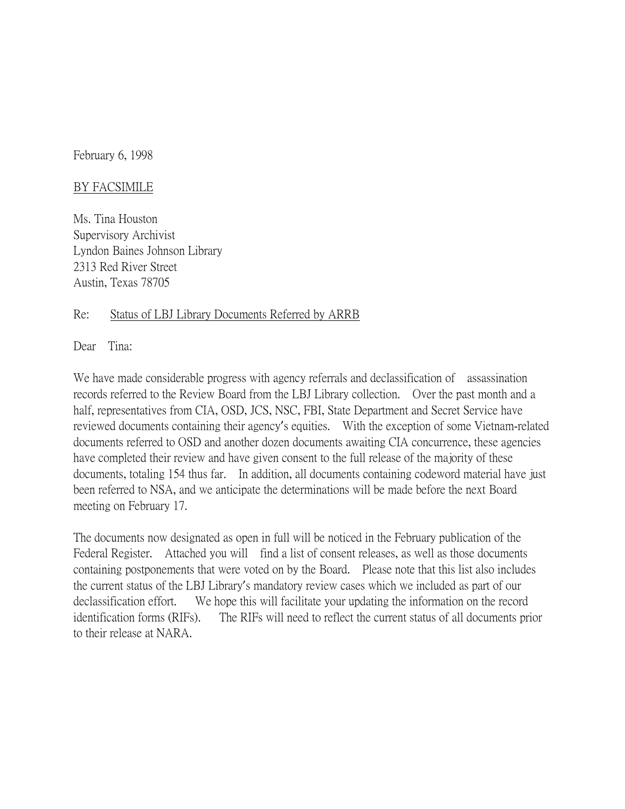February 6, 1998

## BY FACSIMILE

Ms. Tina Houston Supervisory Archivist Lyndon Baines Johnson Library 2313 Red River Street Austin, Texas 78705

## Re: Status of LBJ Library Documents Referred by ARRB

Dear Tina:

We have made considerable progress with agency referrals and declassification of assassination records referred to the Review Board from the LBJ Library collection. Over the past month and a half, representatives from CIA, OSD, JCS, NSC, FBI, State Department and Secret Service have reviewed documents containing their agency's equities. With the exception of some Vietnam-related documents referred to OSD and another dozen documents awaiting CIA concurrence, these agencies have completed their review and have given consent to the full release of the majority of these documents, totaling 154 thus far. In addition, all documents containing codeword material have just been referred to NSA, and we anticipate the determinations will be made before the next Board meeting on February 17.

The documents now designated as open in full will be noticed in the February publication of the Federal Register. Attached you will find a list of consent releases, as well as those documents containing postponements that were voted on by the Board. Please note that this list also includes the current status of the LBJ Library's mandatory review cases which we included as part of our declassification effort. We hope this will facilitate your updating the information on the record identification forms (RIFs). The RIFs will need to reflect the current status of all documents prior to their release at NARA.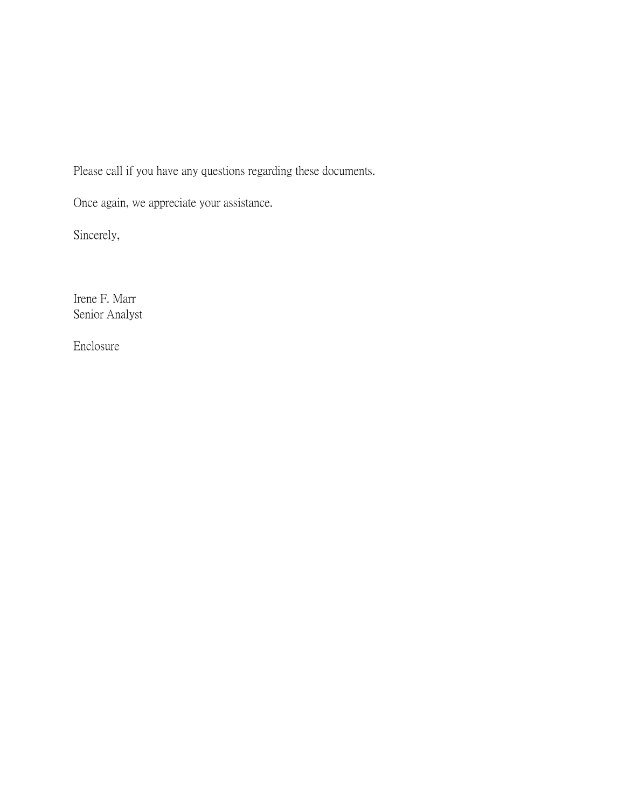Please call if you have any questions regarding these documents.

Once again, we appreciate your assistance.

Sincerely,

Irene F. Marr Senior Analyst

Enclosure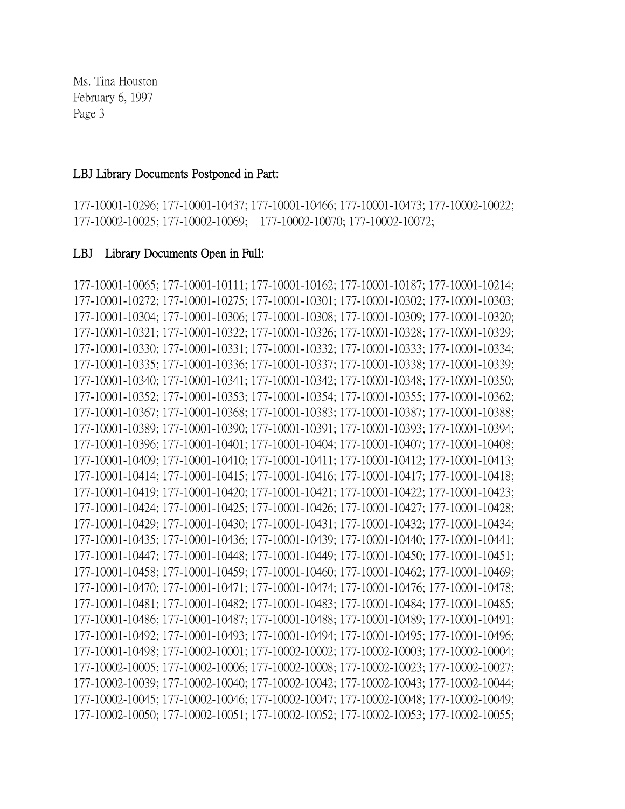## LBJ Library Documents Postponed in Part:

177-10001-10296; 177-10001-10437; 177-10001-10466; 177-10001-10473; 177-10002-10022; 177-10002-10025; 177-10002-10069; 177-10002-10070; 177-10002-10072;

## LBJ Library Documents Open in Full:

177-10001-10065; 177-10001-10111; 177-10001-10162; 177-10001-10187; 177-10001-10214; 177-10001-10272; 177-10001-10275; 177-10001-10301; 177-10001-10302; 177-10001-10303; 177-10001-10304; 177-10001-10306; 177-10001-10308; 177-10001-10309; 177-10001-10320; 177-10001-10321; 177-10001-10322; 177-10001-10326; 177-10001-10328; 177-10001-10329; 177-10001-10330; 177-10001-10331; 177-10001-10332; 177-10001-10333; 177-10001-10334; 177-10001-10335; 177-10001-10336; 177-10001-10337; 177-10001-10338; 177-10001-10339; 177-10001-10340; 177-10001-10341; 177-10001-10342; 177-10001-10348; 177-10001-10350; 177-10001-10352; 177-10001-10353; 177-10001-10354; 177-10001-10355; 177-10001-10362; 177-10001-10367; 177-10001-10368; 177-10001-10383; 177-10001-10387; 177-10001-10388; 177-10001-10389; 177-10001-10390; 177-10001-10391; 177-10001-10393; 177-10001-10394; 177-10001-10396; 177-10001-10401; 177-10001-10404; 177-10001-10407; 177-10001-10408; 177-10001-10409; 177-10001-10410; 177-10001-10411; 177-10001-10412; 177-10001-10413; 177-10001-10414; 177-10001-10415; 177-10001-10416; 177-10001-10417; 177-10001-10418; 177-10001-10419; 177-10001-10420; 177-10001-10421; 177-10001-10422; 177-10001-10423; 177-10001-10424; 177-10001-10425; 177-10001-10426; 177-10001-10427; 177-10001-10428; 177-10001-10429; 177-10001-10430; 177-10001-10431; 177-10001-10432; 177-10001-10434; 177-10001-10435; 177-10001-10436; 177-10001-10439; 177-10001-10440; 177-10001-10441; 177-10001-10447; 177-10001-10448; 177-10001-10449; 177-10001-10450; 177-10001-10451; 177-10001-10458; 177-10001-10459; 177-10001-10460; 177-10001-10462; 177-10001-10469; 177-10001-10470; 177-10001-10471; 177-10001-10474; 177-10001-10476; 177-10001-10478; 177-10001-10481; 177-10001-10482; 177-10001-10483; 177-10001-10484; 177-10001-10485; 177-10001-10486; 177-10001-10487; 177-10001-10488; 177-10001-10489; 177-10001-10491; 177-10001-10492; 177-10001-10493; 177-10001-10494; 177-10001-10495; 177-10001-10496; 177-10001-10498; 177-10002-10001; 177-10002-10002; 177-10002-10003; 177-10002-10004; 177-10002-10005; 177-10002-10006; 177-10002-10008; 177-10002-10023; 177-10002-10027; 177-10002-10039; 177-10002-10040; 177-10002-10042; 177-10002-10043; 177-10002-10044; 177-10002-10045; 177-10002-10046; 177-10002-10047; 177-10002-10048; 177-10002-10049; 177-10002-10050; 177-10002-10051; 177-10002-10052; 177-10002-10053; 177-10002-10055;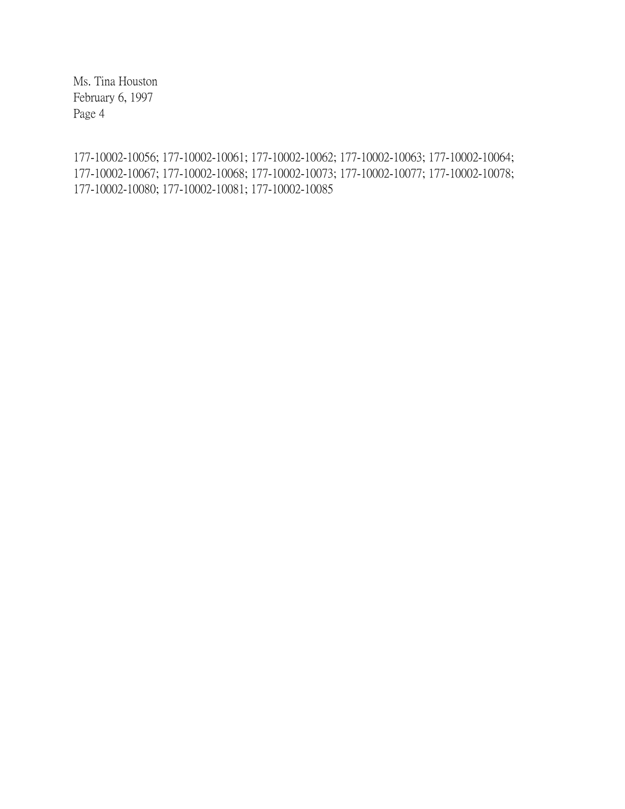177-10002-10056; 177-10002-10061; 177-10002-10062; 177-10002-10063; 177-10002-10064; 177-10002-10067; 177-10002-10068; 177-10002-10073; 177-10002-10077; 177-10002-10078; 177-10002-10080; 177-10002-10081; 177-10002-10085